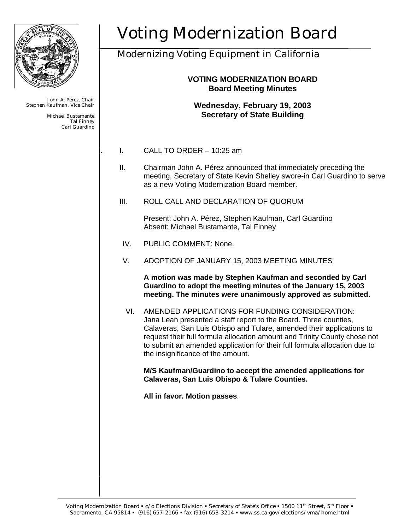

John A. Pérez, Chair Stephen Kaufman, Vice Chair

> Michael Bustamante Tal Finney Carl Guardino

# Voting Modernization Board

## Modernizing Voting Equipment in California

### **VOTING MODERNIZATION BOARD Board Meeting Minutes**

#### **Wednesday, February 19, 2003 Secretary of State Building**

- I. CALL TO ORDER 10:25 am
- II. Chairman John A. Pérez announced that immediately preceding the meeting, Secretary of State Kevin Shelley swore-in Carl Guardino to serve as a new Voting Modernization Board member.
- III. ROLL CALL AND DECLARATION OF QUORUM

Present: John A. Pérez, Stephen Kaufman, Carl Guardino Absent: Michael Bustamante, Tal Finney

- IV. PUBLIC COMMENT: None.
- V. ADOPTION OF JANUARY 15, 2003 MEETING MINUTES

**A motion was made by Stephen Kaufman and seconded by Carl Guardino to adopt the meeting minutes of the January 15, 2003 meeting. The minutes were unanimously approved as submitted.**

VI. AMENDED APPLICATIONS FOR FUNDING CONSIDERATION: Jana Lean presented a staff report to the Board. Three counties, Calaveras, San Luis Obispo and Tulare, amended their applications to request their full formula allocation amount and Trinity County chose not to submit an amended application for their full formula allocation due to the insignificance of the amount.

**M/S Kaufman/Guardino to accept the amended applications for Calaveras, San Luis Obispo & Tulare Counties.** 

**All in favor. Motion passes**.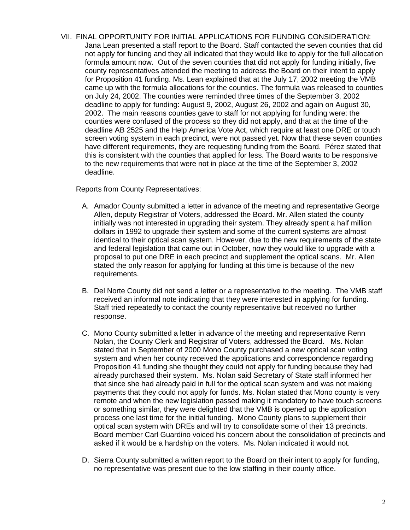VII. FINAL OPPORTUNITY FOR INITIAL APPLICATIONS FOR FUNDING CONSIDERATION: Jana Lean presented a staff report to the Board. Staff contacted the seven counties that did not apply for funding and they all indicated that they would like to apply for the full allocation formula amount now. Out of the seven counties that did not apply for funding initially, five county representatives attended the meeting to address the Board on their intent to apply for Proposition 41 funding. Ms. Lean explained that at the July 17, 2002 meeting the VMB came up with the formula allocations for the counties. The formula was released to counties on July 24, 2002. The counties were reminded three times of the September 3, 2002 deadline to apply for funding: August 9, 2002, August 26, 2002 and again on August 30, 2002. The main reasons counties gave to staff for not applying for funding were: the counties were confused of the process so they did not apply, and that at the time of the deadline AB 2525 and the Help America Vote Act, which require at least one DRE or touch screen voting system in each precinct, were not passed yet. Now that these seven counties have different requirements, they are requesting funding from the Board. Pérez stated that this is consistent with the counties that applied for less. The Board wants to be responsive to the new requirements that were not in place at the time of the September 3, 2002 deadline.

Reports from County Representatives:

- A. Amador County submitted a letter in advance of the meeting and representative George Allen, deputy Registrar of Voters, addressed the Board. Mr. Allen stated the county initially was not interested in upgrading their system. They already spent a half million dollars in 1992 to upgrade their system and some of the current systems are almost identical to their optical scan system. However, due to the new requirements of the state and federal legislation that came out in October, now they would like to upgrade with a proposal to put one DRE in each precinct and supplement the optical scans. Mr. Allen stated the only reason for applying for funding at this time is because of the new requirements.
- B. Del Norte County did not send a letter or a representative to the meeting. The VMB staff received an informal note indicating that they were interested in applying for funding. Staff tried repeatedly to contact the county representative but received no further response.
- C. Mono County submitted a letter in advance of the meeting and representative Renn Nolan, the County Clerk and Registrar of Voters, addressed the Board. Ms. Nolan stated that in September of 2000 Mono County purchased a new optical scan voting system and when her county received the applications and correspondence regarding Proposition 41 funding she thought they could not apply for funding because they had already purchased their system. Ms. Nolan said Secretary of State staff informed her that since she had already paid in full for the optical scan system and was not making payments that they could not apply for funds. Ms. Nolan stated that Mono county is very remote and when the new legislation passed making it mandatory to have touch screens or something similar, they were delighted that the VMB is opened up the application process one last time for the initial funding. Mono County plans to supplement their optical scan system with DREs and will try to consolidate some of their 13 precincts. Board member Carl Guardino voiced his concern about the consolidation of precincts and asked if it would be a hardship on the voters. Ms. Nolan indicated it would not.
- D. Sierra County submitted a written report to the Board on their intent to apply for funding, no representative was present due to the low staffing in their county office.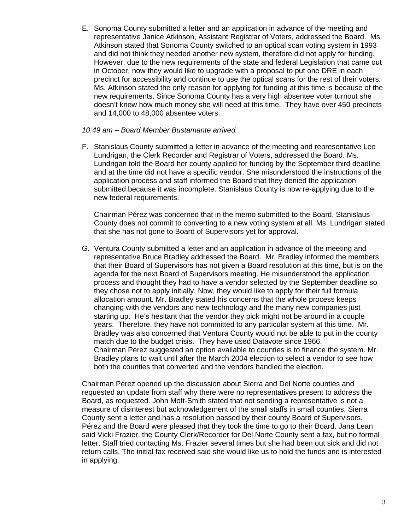E. Sonoma County submitted a letter and an application in advance of the meeting and representative Janice Atkinson, Assistant Registrar of Voters, addressed the Board. Ms. Atkinson stated that Sonoma County switched to an optical scan voting system in 1993 and did not think they needed another new system, therefore did not apply for funding. However, due to the new requirements of the state and federal Legislation that came out in October, now they would like to upgrade with a proposal to put one DRE in each precinct for accessibility and continue to use the optical scans for the rest of their voters. Ms. Atkinson stated the only reason for applying for funding at this time is because of the new requirements. Since Sonoma County has a very high absentee voter turnout she doesn't know how much money she will need at this time. They have over 450 precincts and 14,000 to 48,000 absentee voters.

#### *10:49 am – Board Member Bustamante arrived.*

F. Stanislaus County submitted a letter in advance of the meeting and representative Lee Lundrigan, the Clerk Recorder and Registrar of Voters, addressed the Board. Ms. Lundrigan told the Board her county applied for funding by the September third deadline and at the time did not have a specific vendor. She misunderstood the instructions of the application process and staff informed the Board that they denied the application submitted because it was incomplete. Stanislaus County is now re-applying due to the new federal requirements.

Chairman Pérez was concerned that in the memo submitted to the Board, Stanislaus County does not commit to converting to a new voting system at all. Ms. Lundrigan stated that she has not gone to Board of Supervisors yet for approval.

G. Ventura County submitted a letter and an application in advance of the meeting and representative Bruce Bradley addressed the Board. Mr. Bradley informed the members that their Board of Supervisors has not given a Board resolution at this time, but is on the agenda for the next Board of Supervisors meeting. He misunderstood the application process and thought they had to have a vendor selected by the September deadline so they chose not to apply initially. Now, they would like to apply for their full formula allocation amount. Mr. Bradley stated his concerns that the whole process keeps changing with the vendors and new technology and the many new companies just starting up. He's hesitant that the vendor they pick might not be around in a couple years. Therefore, they have not committed to any particular system at this time. Mr. Bradley was also concerned that Ventura County would not be able to put in the county match due to the budget crisis. They have used Datavote since 1966. Chairman Pérez suggested an option available to counties is to finance the system. Mr. Bradley plans to wait until after the March 2004 election to select a vendor to see how both the counties that converted and the vendors handled the election.

Chairman Pérez opened up the discussion about Sierra and Del Norte counties and requested an update from staff why there were no representatives present to address the Board, as requested. John Mott-Smith stated that not sending a representative is not a measure of disinterest but acknowledgement of the small staffs in small counties. Sierra County sent a letter and has a resolution passed by their county Board of Supervisors. Pérez and the Board were pleased that they took the time to go to their Board. Jana Lean said Vicki Frazier, the County Clerk/Recorder for Del Norte County sent a fax, but no formal letter. Staff tried contacting Ms. Frazier several times but she had been out sick and did not return calls. The initial fax received said she would like us to hold the funds and is interested in applying.